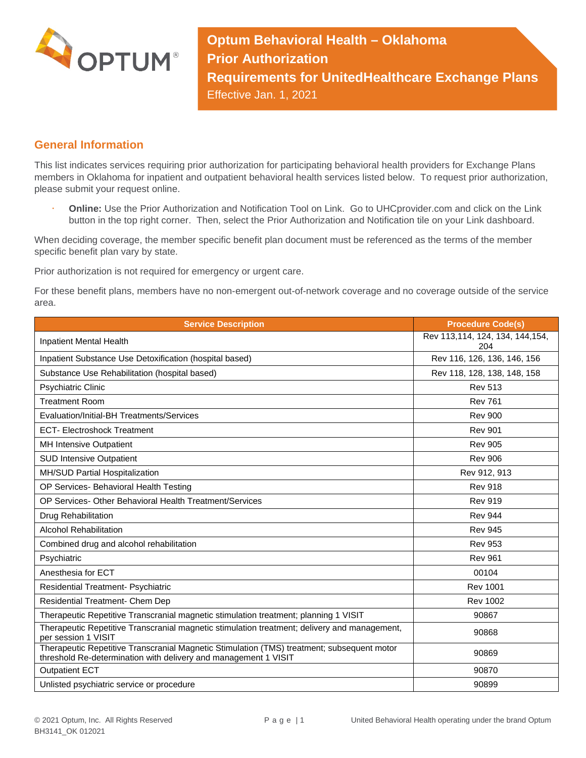

**Optum Behavioral Health – Oklahoma Prior Authorization Requirements for UnitedHealthcare Exchange Plans** Effective Jan. 1, 2021

## **General Information**

This list indicates services requiring prior authorization for participating behavioral health providers for Exchange Plans members in Oklahoma for inpatient and outpatient behavioral health services listed below. To request prior authorization, please submit your request online.

 **Online:** Use the Prior Authorization and Notification Tool on Link. Go to UHCprovider.com and click on the Link button in the top right corner. Then, select the Prior Authorization and Notification tile on your Link dashboard.

When deciding coverage, the member specific benefit plan document must be referenced as the terms of the member specific benefit plan vary by state.

Prior authorization is not required for emergency or urgent care.

For these benefit plans, members have no non-emergent out-of-network coverage and no coverage outside of the service area.

| <b>Service Description</b>                                                                                                                                    | <b>Procedure Code(s)</b>               |
|---------------------------------------------------------------------------------------------------------------------------------------------------------------|----------------------------------------|
| Inpatient Mental Health                                                                                                                                       | Rev 113,114, 124, 134, 144,154,<br>204 |
| Inpatient Substance Use Detoxification (hospital based)                                                                                                       | Rev 116, 126, 136, 146, 156            |
| Substance Use Rehabilitation (hospital based)                                                                                                                 | Rev 118, 128, 138, 148, 158            |
| <b>Psychiatric Clinic</b>                                                                                                                                     | <b>Rev 513</b>                         |
| <b>Treatment Room</b>                                                                                                                                         | <b>Rev 761</b>                         |
| Evaluation/Initial-BH Treatments/Services                                                                                                                     | <b>Rev 900</b>                         |
| <b>ECT- Electroshock Treatment</b>                                                                                                                            | <b>Rev 901</b>                         |
| MH Intensive Outpatient                                                                                                                                       | <b>Rev 905</b>                         |
| <b>SUD Intensive Outpatient</b>                                                                                                                               | <b>Rev 906</b>                         |
| MH/SUD Partial Hospitalization                                                                                                                                | Rev 912, 913                           |
| OP Services- Behavioral Health Testing                                                                                                                        | <b>Rev 918</b>                         |
| OP Services- Other Behavioral Health Treatment/Services                                                                                                       | <b>Rev 919</b>                         |
| Drug Rehabilitation                                                                                                                                           | <b>Rev 944</b>                         |
| <b>Alcohol Rehabilitation</b>                                                                                                                                 | <b>Rev 945</b>                         |
| Combined drug and alcohol rehabilitation                                                                                                                      | <b>Rev 953</b>                         |
| Psychiatric                                                                                                                                                   | <b>Rev 961</b>                         |
| Anesthesia for ECT                                                                                                                                            | 00104                                  |
| Residential Treatment- Psychiatric                                                                                                                            | <b>Rev 1001</b>                        |
| Residential Treatment- Chem Dep                                                                                                                               | <b>Rev 1002</b>                        |
| Therapeutic Repetitive Transcranial magnetic stimulation treatment; planning 1 VISIT                                                                          | 90867                                  |
| Therapeutic Repetitive Transcranial magnetic stimulation treatment; delivery and management,<br>per session 1 VISIT                                           | 90868                                  |
| Therapeutic Repetitive Transcranial Magnetic Stimulation (TMS) treatment; subsequent motor<br>threshold Re-determination with delivery and management 1 VISIT | 90869                                  |
| <b>Outpatient ECT</b>                                                                                                                                         | 90870                                  |
| Unlisted psychiatric service or procedure                                                                                                                     | 90899                                  |